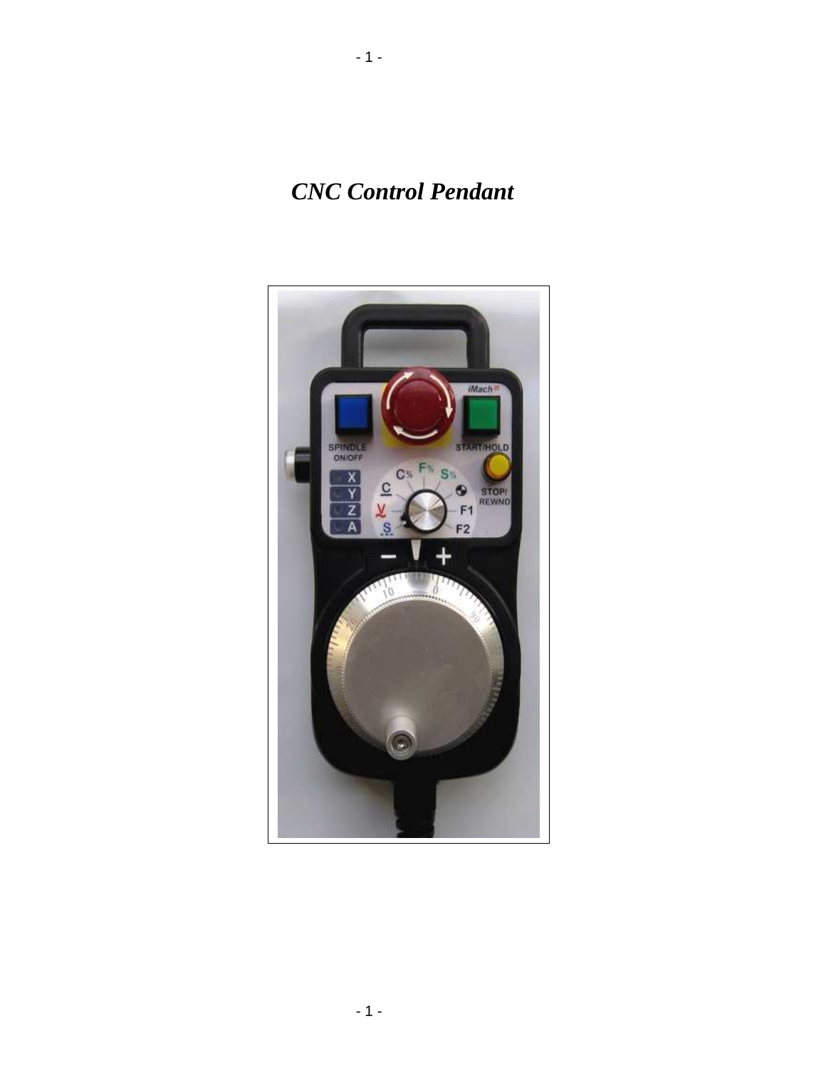*CNC Control Pendant* 

- 1 -

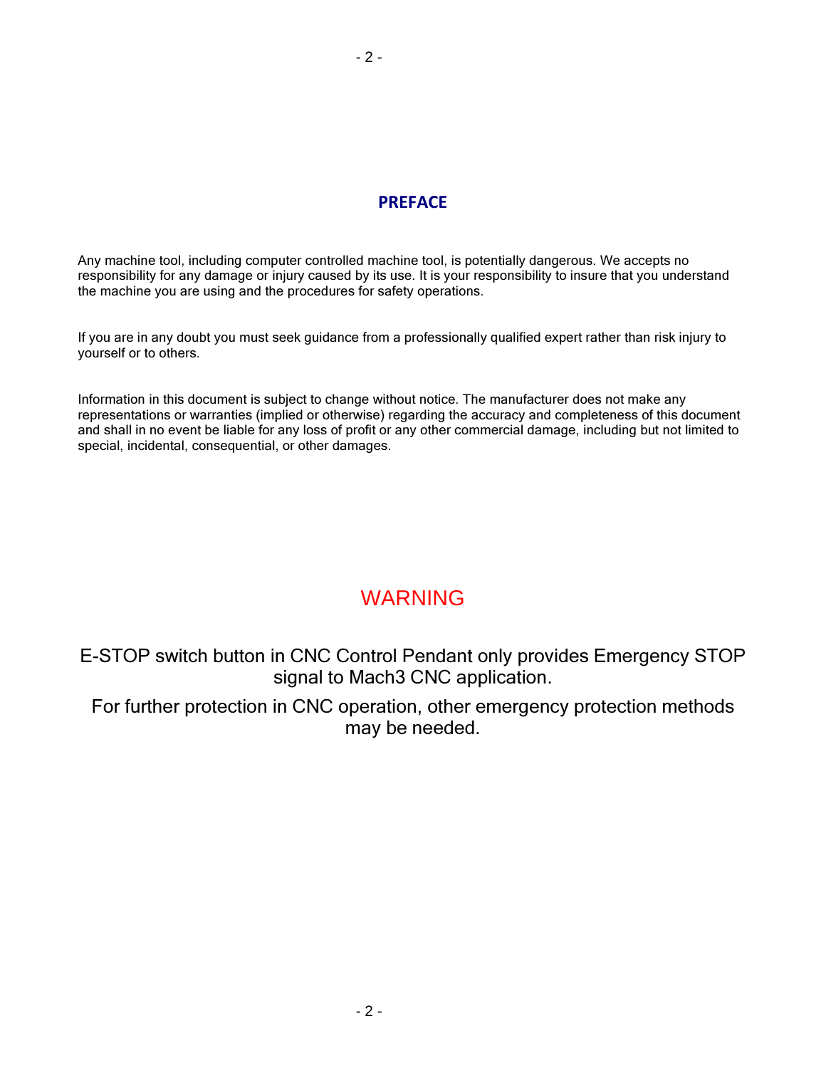#### PREFACE

Any machine tool, including computer controlled machine tool, is potentially dangerous. We accepts no responsibility for any damage or injury caused by its use. It is your responsibility to insure that you understand the machine you are using and the procedures for safety operations.

If you are in any doubt you must seek guidance from a professionally qualified expert rather than risk injury to yourself or to others.

Information in this document is subject to change without notice. The manufacturer does not make any representations or warranties (implied or otherwise) regarding the accuracy and completeness of this document and shall in no event be liable for any loss of profit or any other commercial damage, including but not limited to special, incidental, consequential, or other damages.

### WARNING

E-STOP switch button in CNC Control Pendant only provides Emergency STOP signal to Mach3 CNC application.

For further protection in CNC operation, other emergency protection methods may be needed.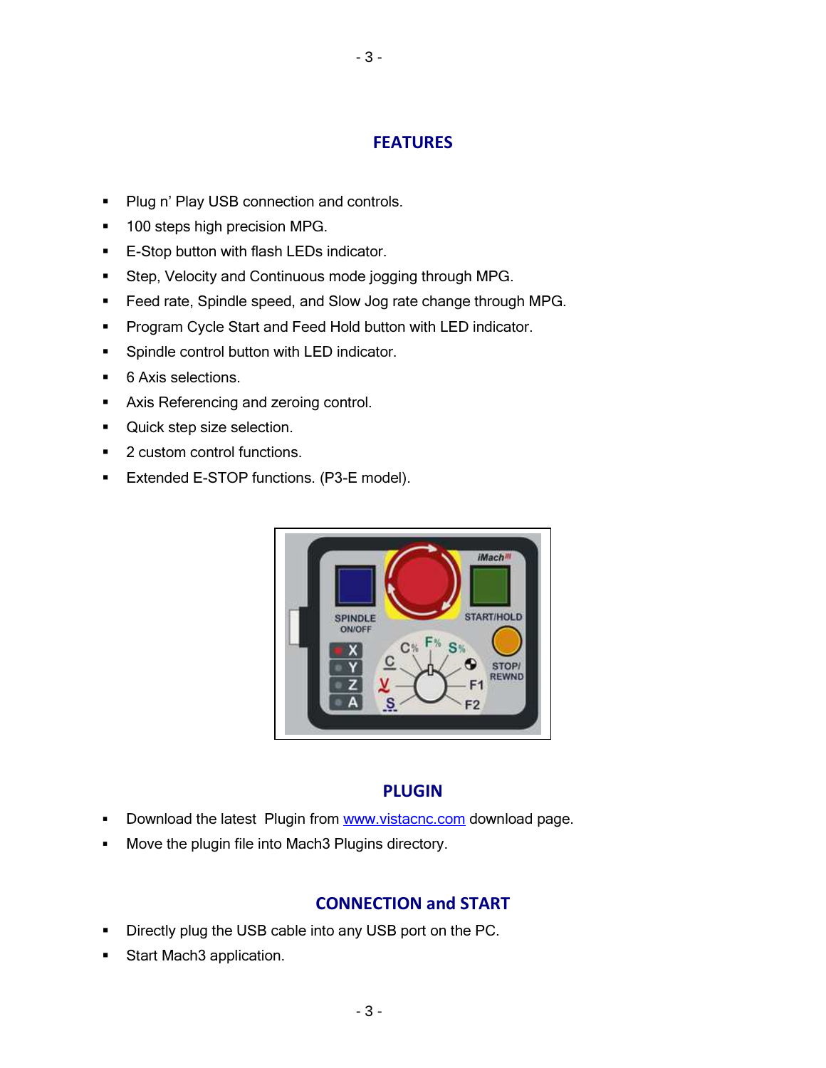#### **FEATURES**

- 3 -

- **Plug n' Play USB connection and controls.**
- **100 steps high precision MPG.**
- **E-Stop button with flash LEDs indicator.**
- **Step, Velocity and Continuous mode jogging through MPG.**
- **Feed rate, Spindle speed, and Slow Jog rate change through MPG.**
- **Program Cycle Start and Feed Hold button with LED indicator.**
- **Spindle control button with LED indicator.**
- 6 Axis selections.
- **Axis Referencing and zeroing control.**
- **Quick step size selection.**
- 2 custom control functions.
- **Extended E-STOP functions. (P3-E model).**



#### PLUGIN

- Download the latest Plugin from www.vistacnc.com download page.
- **Move the plugin file into Mach3 Plugins directory.**

#### CONNECTION and START

- **Directly plug the USB cable into any USB port on the PC.**
- **Start Mach3 application.**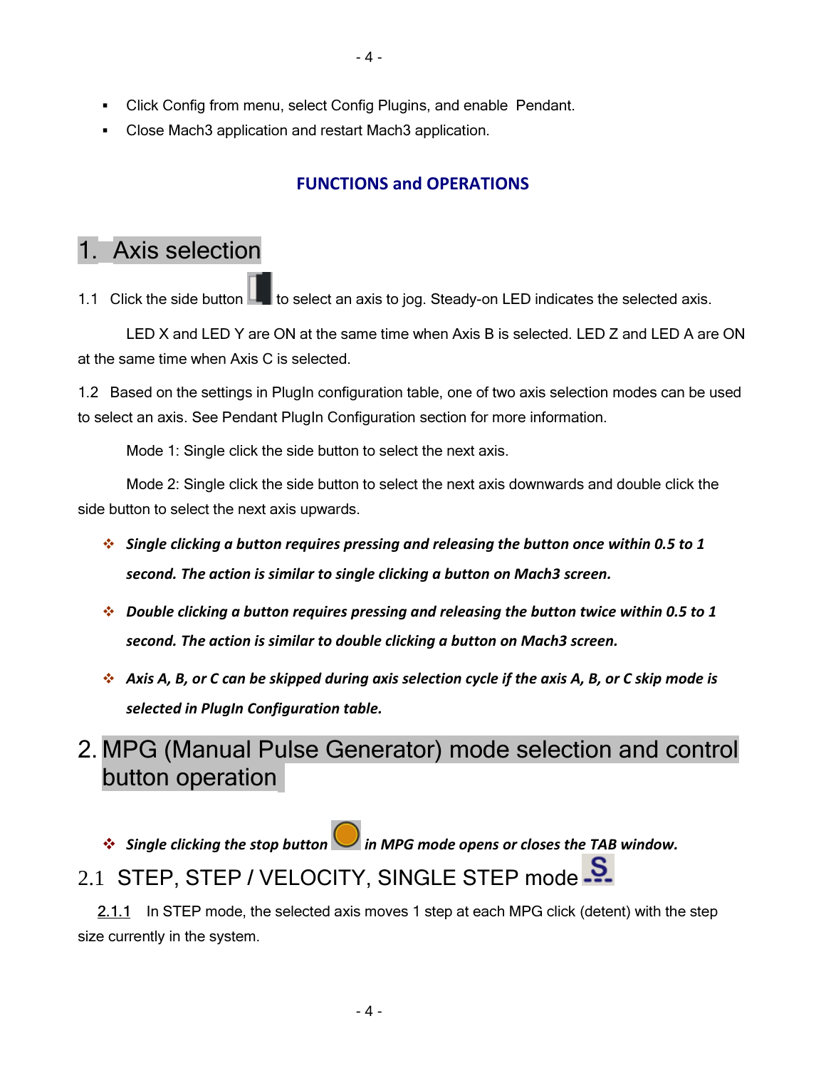- Click Config from menu, select Config Plugins, and enable Pendant.
- Close Mach3 application and restart Mach3 application.

### FUNCTIONS and OPERATIONS

## 1. Axis selection

1.1 Click the side button  $\Box$  to select an axis to jog. Steady-on LED indicates the selected axis.

LED X and LED Y are ON at the same time when Axis B is selected. LED Z and LED A are ON at the same time when Axis C is selected.

1.2 Based on the settings in PlugIn configuration table, one of two axis selection modes can be used to select an axis. See Pendant PlugIn Configuration section for more information.

Mode 1: Single click the side button to select the next axis.

 Mode 2: Single click the side button to select the next axis downwards and double click the side button to select the next axis upwards.

- $\cdot$  Single clicking a button requires pressing and releasing the button once within 0.5 to 1 second. The action is similar to single clicking a button on Mach3 screen.
- $\cdot$  Double clicking a button requires pressing and releasing the button twice within 0.5 to 1 second. The action is similar to double clicking a button on Mach3 screen.
- $\cdot$  Axis A, B, or C can be skipped during axis selection cycle if the axis A, B, or C skip mode is selected in PlugIn Configuration table.

2. MPG (Manual Pulse Generator) mode selection and control button operation

Single clicking the stop button in MPG mode opens or closes the TAB window.

## 2.1 STEP, STEP / VELOCITY, SINGLE STEP mode 5.

2.1.1 In STEP mode, the selected axis moves 1 step at each MPG click (detent) with the step size currently in the system.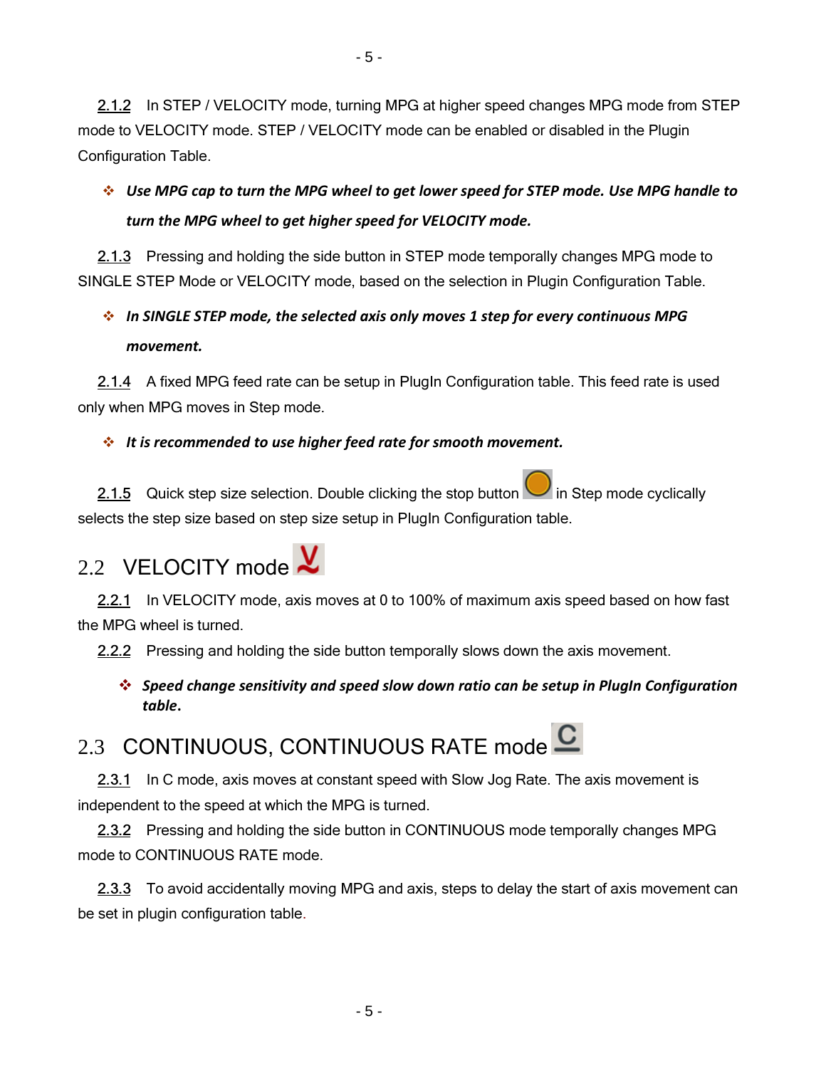2.1.2 In STEP / VELOCITY mode, turning MPG at higher speed changes MPG mode from STEP mode to VELOCITY mode. STEP / VELOCITY mode can be enabled or disabled in the Plugin Configuration Table.

- 5 -

### $\cdot$  Use MPG cap to turn the MPG wheel to get lower speed for STEP mode. Use MPG handle to turn the MPG wheel to get higher speed for VELOCITY mode.

 2.1.3 Pressing and holding the side button in STEP mode temporally changes MPG mode to SINGLE STEP Mode or VELOCITY mode, based on the selection in Plugin Configuration Table.

### $\cdot$  In SINGLE STEP mode, the selected axis only moves 1 step for every continuous MPG movement.

 2.1.4 A fixed MPG feed rate can be setup in PlugIn Configuration table. This feed rate is used only when MPG moves in Step mode.

### $\cdot$  It is recommended to use higher feed rate for smooth movement.

2.1.5 Quick step size selection. Double clicking the stop button  $\Box$  in Step mode cyclically selects the step size based on step size setup in PlugIn Configuration table.

# 2.2 VELOCITY mode  $\chi$

2.2.1 In VELOCITY mode, axis moves at 0 to 100% of maximum axis speed based on how fast the MPG wheel is turned.

2.2.2 Pressing and holding the side button temporally slows down the axis movement.

 $\cdot$  Speed change sensitivity and speed slow down ratio can be setup in PlugIn Configuration table.

# 2.3 CONTINUOUS, CONTINUOUS RATE mode  $\mathbf C$

 2.3.1 In C mode, axis moves at constant speed with Slow Jog Rate. The axis movement is independent to the speed at which the MPG is turned.

2.3.2 Pressing and holding the side button in CONTINUOUS mode temporally changes MPG mode to CONTINUOUS RATE mode.

2.3.3 To avoid accidentally moving MPG and axis, steps to delay the start of axis movement can be set in plugin configuration table.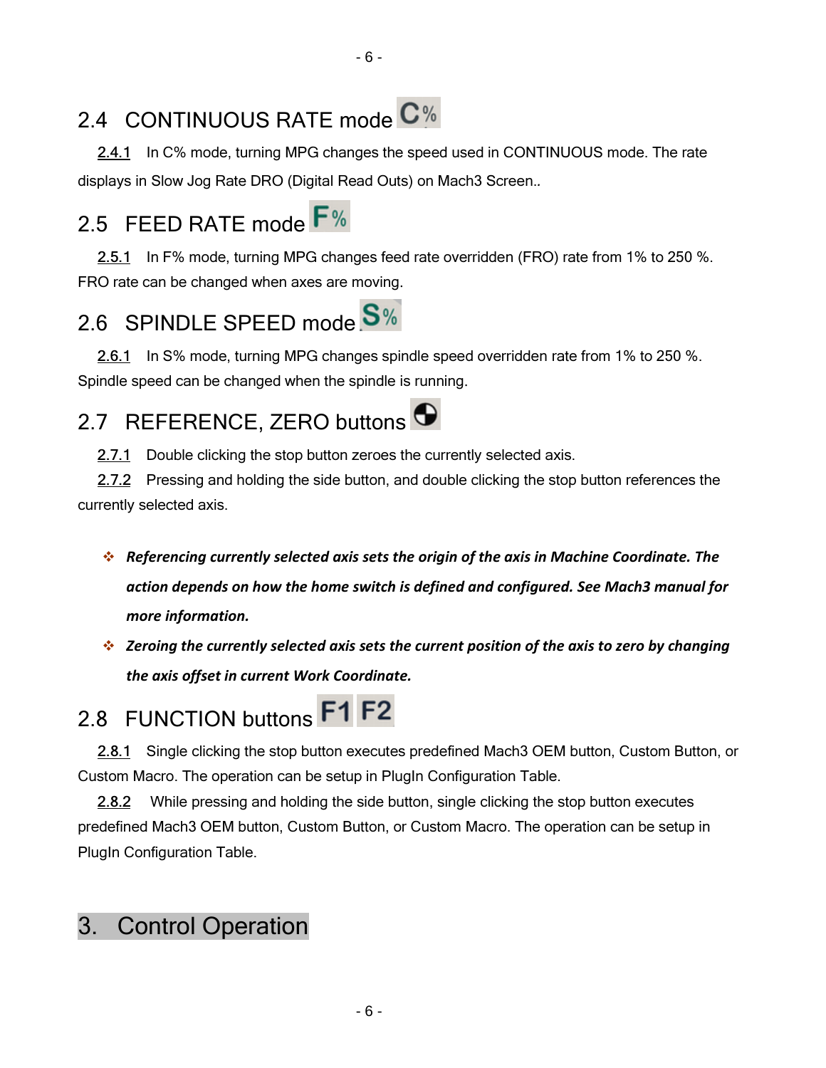## 2.4 CONTINUOUS RATE mode C%

 2.4.1 In C% mode, turning MPG changes the speed used in CONTINUOUS mode. The rate displays in Slow Jog Rate DRO (Digital Read Outs) on Mach3 Screen..

## 2.5 FEED RATE mode F%

 2.5.1 In F% mode, turning MPG changes feed rate overridden (FRO) rate from 1% to 250 %. FRO rate can be changed when axes are moving.

## 2.6 SPINDLE SPEED mode S%

2.6.1 In S% mode, turning MPG changes spindle speed overridden rate from 1% to 250 %. Spindle speed can be changed when the spindle is running.

## 2.7 REFERENCE, ZERO buttons  $\bigodot$

2.7.1 Double clicking the stop button zeroes the currently selected axis.

2.7.2 Pressing and holding the side button, and double clicking the stop button references the currently selected axis.

- Referencing currently selected axis sets the origin of the axis in Machine Coordinate. The action depends on how the home switch is defined and configured. See Mach3 manual for more information.
- $\cdot$  Zeroing the currently selected axis sets the current position of the axis to zero by changing the axis offset in current Work Coordinate.

# 2.8 FUNCTION buttons F1 F2

 2.8.1 Single clicking the stop button executes predefined Mach3 OEM button, Custom Button, or Custom Macro. The operation can be setup in PlugIn Configuration Table.

 2.8.2 While pressing and holding the side button, single clicking the stop button executes predefined Mach3 OEM button, Custom Button, or Custom Macro. The operation can be setup in PlugIn Configuration Table.

## 3. Control Operation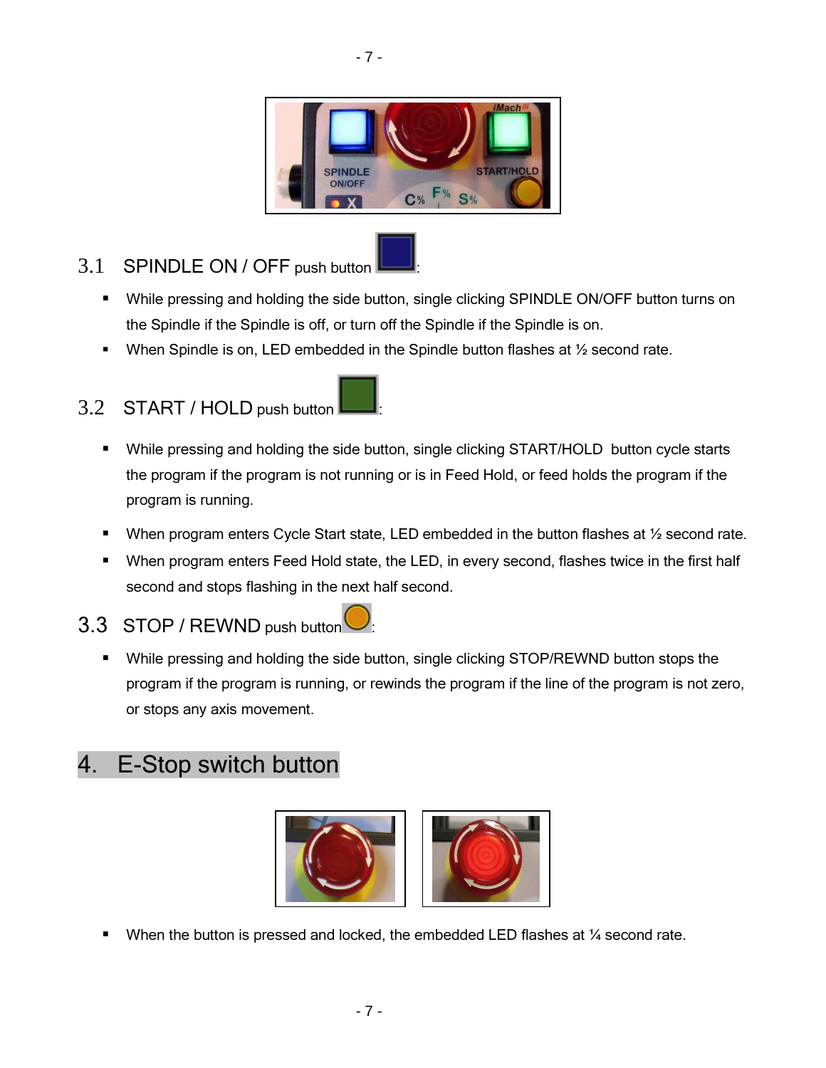

- 7 -

### 3.1 SPINDLE ON / OFF push button

- While pressing and holding the side button, single clicking SPINDLE ON/OFF button turns on the Spindle if the Spindle is off, or turn off the Spindle if the Spindle is on.
- When Spindle is on, LED embedded in the Spindle button flashes at ½ second rate.

### 3.2 START / HOLD push button

- While pressing and holding the side button, single clicking START/HOLD button cycle starts the program if the program is not running or is in Feed Hold, or feed holds the program if the program is running.
- When program enters Cycle Start state, LED embedded in the button flashes at  $\frac{1}{2}$  second rate.
- When program enters Feed Hold state, the LED, in every second, flashes twice in the first half second and stops flashing in the next half second.

### 3.3 STOP / REWND push button

• While pressing and holding the side button, single clicking STOP/REWND button stops the program if the program is running, or rewinds the program if the line of the program is not zero, or stops any axis movement.

## 4. E-Stop switch button



When the button is pressed and locked, the embedded LED flashes at  $\frac{1}{4}$  second rate.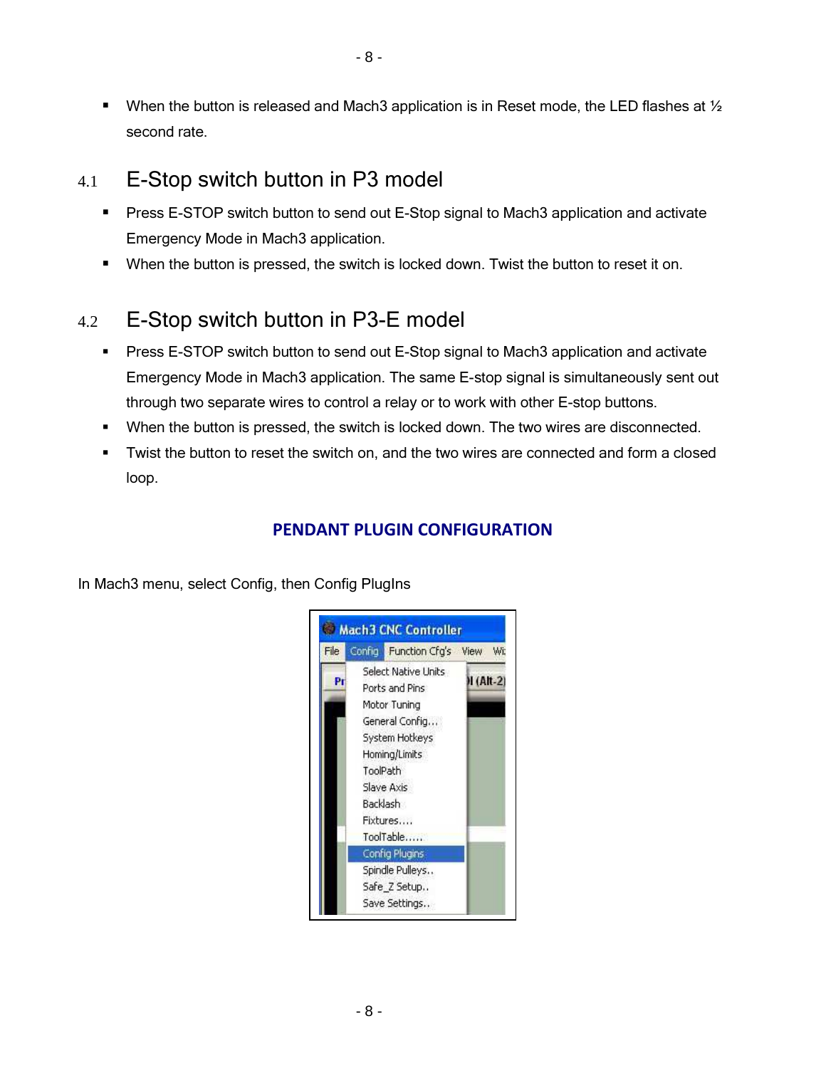When the button is released and Mach3 application is in Reset mode, the LED flashes at  $\frac{1}{2}$ second rate.

### 4.1 E-Stop switch button in P3 model

- Press E-STOP switch button to send out E-Stop signal to Mach3 application and activate Emergency Mode in Mach3 application.
- When the button is pressed, the switch is locked down. Twist the button to reset it on.

### 4.2 E-Stop switch button in P3-E model

- Press E-STOP switch button to send out E-Stop signal to Mach3 application and activate Emergency Mode in Mach3 application. The same E-stop signal is simultaneously sent out through two separate wires to control a relay or to work with other E-stop buttons.
- When the button is pressed, the switch is locked down. The two wires are disconnected.
- Twist the button to reset the switch on, and the two wires are connected and form a closed loop.

### PENDANT PLUGIN CONFIGURATION

In Mach3 menu, select Config, then Config PlugIns

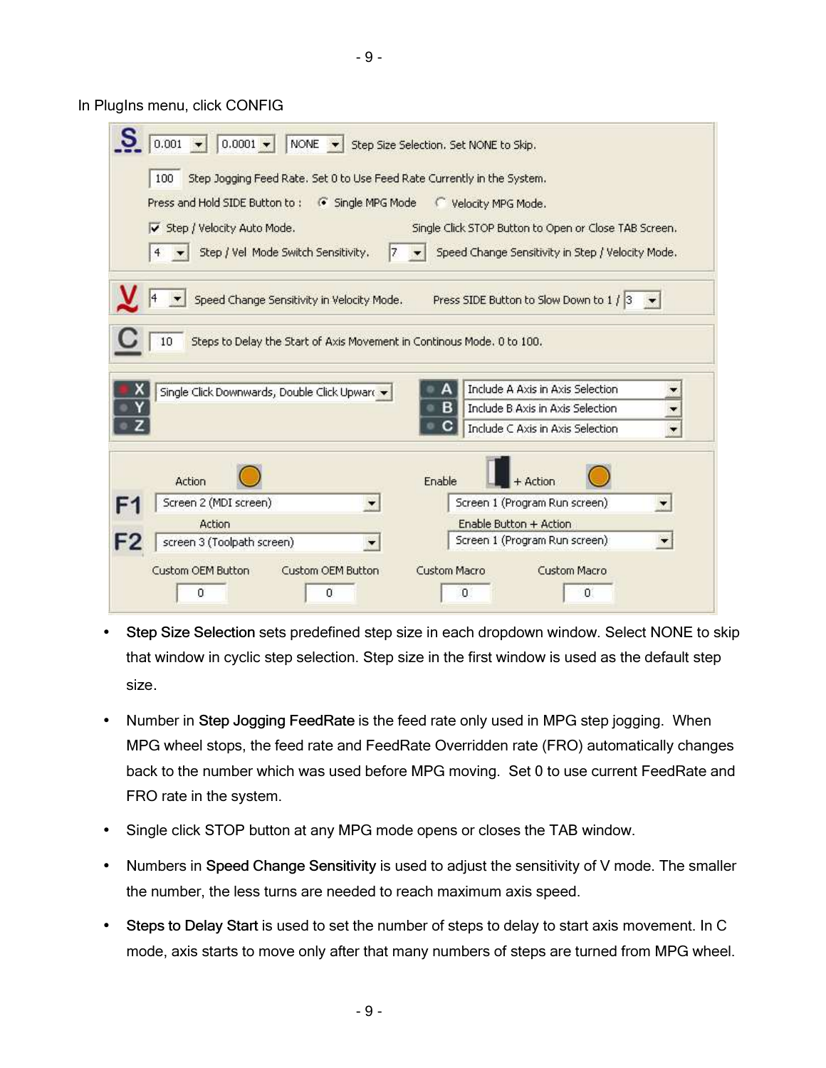- 9 -

In PlugIns menu, click CONFIG

| Press and Hold SIDE Button to:              | G Single MPG Mode                                                      | Velocity MPG Mode.                                    |  |
|---------------------------------------------|------------------------------------------------------------------------|-------------------------------------------------------|--|
|                                             |                                                                        |                                                       |  |
| Step / Velocity Auto Mode.                  |                                                                        | Single Click STOP Button to Open or Close TAB Screen. |  |
| Step / Vel Mode Switch Sensitivity.<br>4    | 7                                                                      | Speed Change Sensitivity in Step / Velocity Mode.     |  |
| Speed Change Sensitivity in Velocity Mode.  |                                                                        | Press SIDE Button to Slow Down to 1 / 3               |  |
|                                             |                                                                        |                                                       |  |
| 10                                          | Steps to Delay the Start of Axis Movement in Continous Mode. 0 to 100. |                                                       |  |
|                                             |                                                                        |                                                       |  |
|                                             |                                                                        |                                                       |  |
|                                             |                                                                        |                                                       |  |
| Single Click Downwards, Double Click Upwart |                                                                        | Include A Axis in Axis Selection                      |  |
|                                             |                                                                        | в<br>Include B Axis in Axis Selection                 |  |
|                                             |                                                                        | Include C Axis in Axis Selection                      |  |
|                                             |                                                                        |                                                       |  |
| Action                                      |                                                                        | Enable<br>+ Action                                    |  |
| Screen 2 (MDI screen)                       |                                                                        | Screen 1 (Program Run screen)                         |  |
| Action                                      |                                                                        | Enable Button + Action                                |  |

- Step Size Selection sets predefined step size in each dropdown window. Select NONE to skip that window in cyclic step selection. Step size in the first window is used as the default step size.
- Number in Step Jogging FeedRate is the feed rate only used in MPG step jogging. When MPG wheel stops, the feed rate and FeedRate Overridden rate (FRO) automatically changes back to the number which was used before MPG moving. Set 0 to use current FeedRate and FRO rate in the system.
- Single click STOP button at any MPG mode opens or closes the TAB window.
- Numbers in Speed Change Sensitivity is used to adjust the sensitivity of V mode. The smaller the number, the less turns are needed to reach maximum axis speed.
- Steps to Delay Start is used to set the number of steps to delay to start axis movement. In C mode, axis starts to move only after that many numbers of steps are turned from MPG wheel.